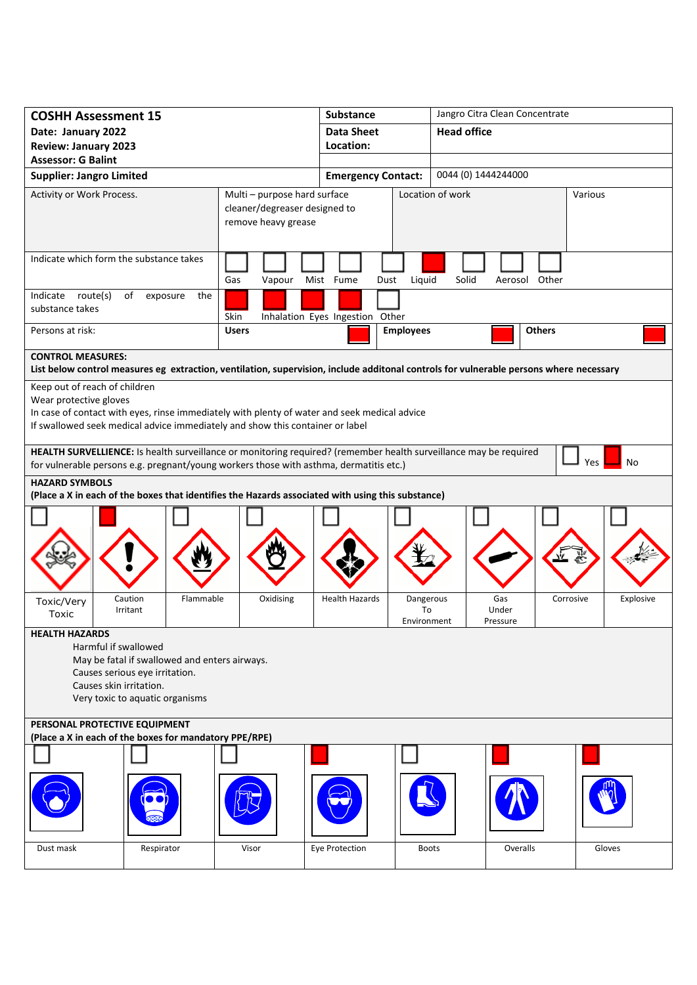| <b>COSHH Assessment 15</b>                                                                                                                                                                                                               |                                  |                                                                                                                                        | <b>Substance</b>                |                                                  |                    | Jangro Citra Clean Concentrate |           |  |
|------------------------------------------------------------------------------------------------------------------------------------------------------------------------------------------------------------------------------------------|----------------------------------|----------------------------------------------------------------------------------------------------------------------------------------|---------------------------------|--------------------------------------------------|--------------------|--------------------------------|-----------|--|
| Date: January 2022                                                                                                                                                                                                                       |                                  |                                                                                                                                        | <b>Data Sheet</b>               |                                                  | <b>Head office</b> |                                |           |  |
| <b>Review: January 2023</b>                                                                                                                                                                                                              |                                  |                                                                                                                                        | Location:                       |                                                  |                    |                                |           |  |
| <b>Assessor: G Balint</b>                                                                                                                                                                                                                |                                  |                                                                                                                                        |                                 |                                                  |                    |                                |           |  |
| <b>Supplier: Jangro Limited</b>                                                                                                                                                                                                          |                                  |                                                                                                                                        |                                 | 0044 (0) 1444244000<br><b>Emergency Contact:</b> |                    |                                |           |  |
| Activity or Work Process.                                                                                                                                                                                                                |                                  | Multi - purpose hard surface<br>cleaner/degreaser designed to<br>remove heavy grease                                                   |                                 |                                                  | Location of work   |                                | Various   |  |
| Indicate which form the substance takes                                                                                                                                                                                                  |                                  | Gas<br>Vapour                                                                                                                          | Mist Fume<br>Dust               | Liquid                                           | Solid              | Aerosol Other                  |           |  |
| Indicate route(s)<br>of<br>exposure<br>the<br>substance takes                                                                                                                                                                            |                                  | Skin                                                                                                                                   | Inhalation Eyes Ingestion Other |                                                  |                    |                                |           |  |
| Persons at risk:                                                                                                                                                                                                                         |                                  | <b>Users</b>                                                                                                                           |                                 | <b>Employees</b><br><b>Others</b>                |                    |                                |           |  |
| <b>CONTROL MEASURES:</b>                                                                                                                                                                                                                 |                                  | List below control measures eg extraction, ventilation, supervision, include additonal controls for vulnerable persons where necessary |                                 |                                                  |                    |                                |           |  |
| Keep out of reach of children<br>Wear protective gloves<br>In case of contact with eyes, rinse immediately with plenty of water and seek medical advice<br>If swallowed seek medical advice immediately and show this container or label |                                  |                                                                                                                                        |                                 |                                                  |                    |                                |           |  |
| HEALTH SURVELLIENCE: Is health surveillance or monitoring required? (remember health surveillance may be required<br>No<br>Yes<br>for vulnerable persons e.g. pregnant/young workers those with asthma, dermatitis etc.)                 |                                  |                                                                                                                                        |                                 |                                                  |                    |                                |           |  |
| <b>HAZARD SYMBOLS</b><br>(Place a X in each of the boxes that identifies the Hazards associated with using this substance)                                                                                                               |                                  |                                                                                                                                        |                                 |                                                  |                    |                                |           |  |
| Toxic/Very                                                                                                                                                                                                                               | Caution<br>Flammable<br>Irritant | Oxidising                                                                                                                              | <b>Health Hazards</b>           | Dangerous<br>To                                  | Gas<br>Under       | Corrosive                      | Explosive |  |
| Toxic<br>Environment<br>Pressure<br><b>HEALTH HAZARDS</b><br>Harmful if swallowed<br>May be fatal if swallowed and enters airways.<br>Causes serious eye irritation.<br>Causes skin irritation.<br>Very toxic to aquatic organisms       |                                  |                                                                                                                                        |                                 |                                                  |                    |                                |           |  |
| PERSONAL PROTECTIVE EQUIPMENT<br>(Place a X in each of the boxes for mandatory PPE/RPE)                                                                                                                                                  |                                  |                                                                                                                                        |                                 |                                                  |                    |                                |           |  |
|                                                                                                                                                                                                                                          |                                  |                                                                                                                                        |                                 |                                                  |                    |                                |           |  |
|                                                                                                                                                                                                                                          |                                  |                                                                                                                                        |                                 |                                                  |                    |                                |           |  |
| Dust mask                                                                                                                                                                                                                                | Respirator                       | Visor                                                                                                                                  | Eye Protection                  | <b>Boots</b>                                     |                    | Overalls                       | Gloves    |  |